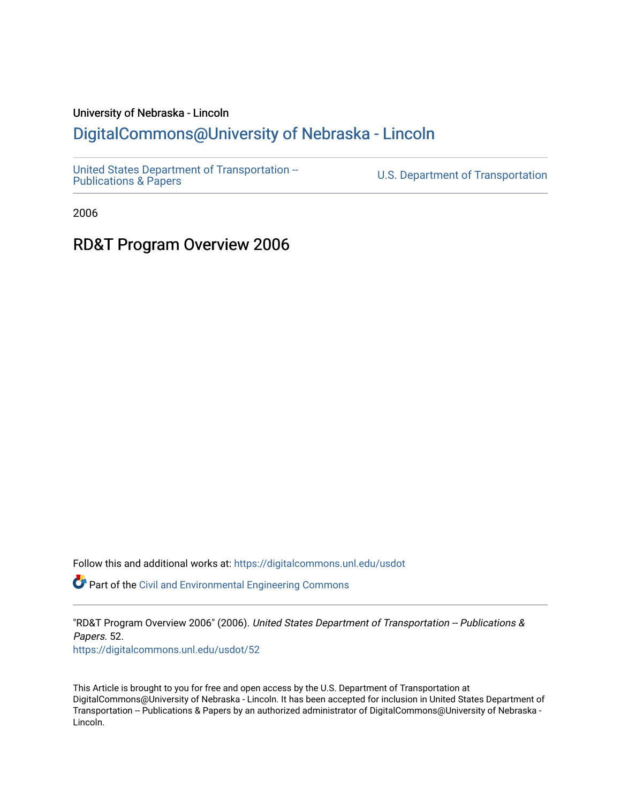#### University of Nebraska - Lincoln

#### [DigitalCommons@University of Nebraska - Lincoln](https://digitalcommons.unl.edu/)

[United States Department of Transportation --](https://digitalcommons.unl.edu/usdot)<br>Publications & Papers

U.S. Department of Transportation

2006

#### RD&T Program Overview 2006

Follow this and additional works at: [https://digitalcommons.unl.edu/usdot](https://digitalcommons.unl.edu/usdot?utm_source=digitalcommons.unl.edu%2Fusdot%2F52&utm_medium=PDF&utm_campaign=PDFCoverPages) 

Part of the [Civil and Environmental Engineering Commons](http://network.bepress.com/hgg/discipline/251?utm_source=digitalcommons.unl.edu%2Fusdot%2F52&utm_medium=PDF&utm_campaign=PDFCoverPages)

"RD&T Program Overview 2006" (2006). United States Department of Transportation -- Publications & Papers. 52. [https://digitalcommons.unl.edu/usdot/52](https://digitalcommons.unl.edu/usdot/52?utm_source=digitalcommons.unl.edu%2Fusdot%2F52&utm_medium=PDF&utm_campaign=PDFCoverPages)

This Article is brought to you for free and open access by the U.S. Department of Transportation at DigitalCommons@University of Nebraska - Lincoln. It has been accepted for inclusion in United States Department of Transportation -- Publications & Papers by an authorized administrator of DigitalCommons@University of Nebraska - Lincoln.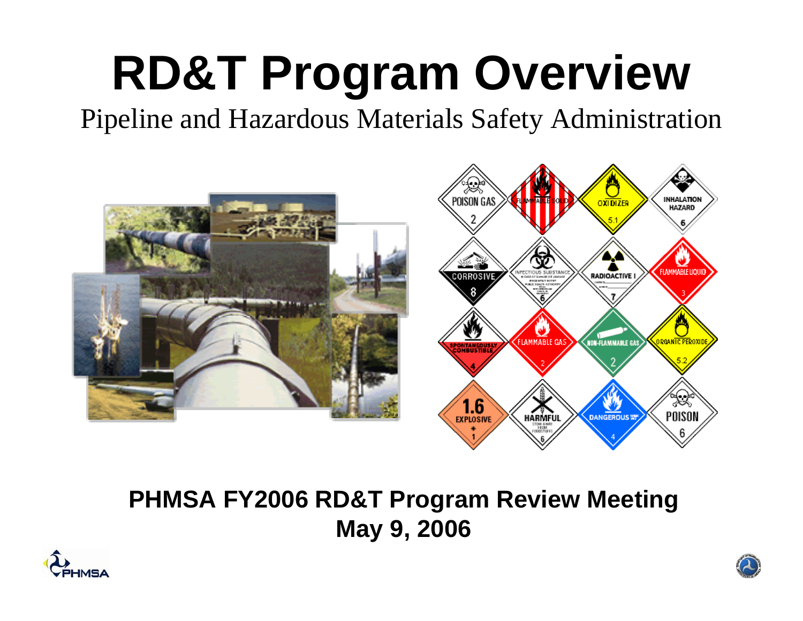# **RD&T Program Overview**

Pipeline and Hazardous Materials Safety Administration



#### **PHMSA FY2006 RD&T Program Review Meeting May 9, 2006**



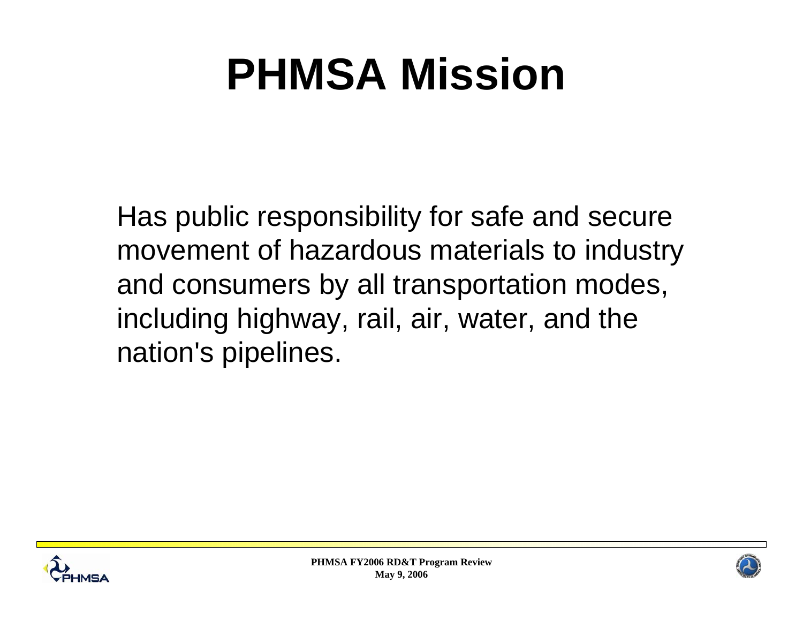## **PHMSA Mission**

Has public responsibility for safe and secure movement of hazardous materials to industry and consumers by all transportation modes, including highway, rail, air, water, and the nation's pipelines.



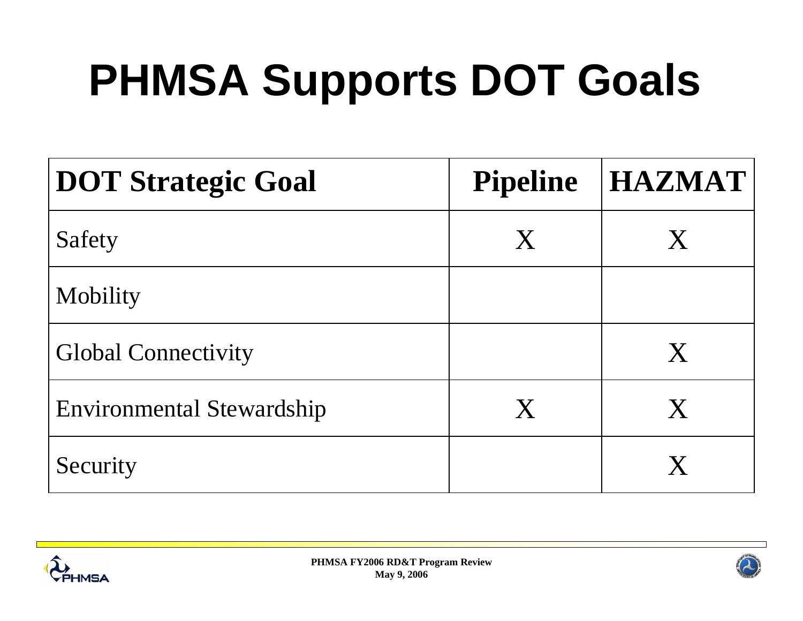# **PHMSA Supports DOT Goals**

| <b>DOT Strategic Goal</b>        | <b>Pipeline</b> | <b>HAZMAT</b> |
|----------------------------------|-----------------|---------------|
| Safety                           | X               | $\mathsf{X}$  |
| Mobility                         |                 |               |
| <b>Global Connectivity</b>       |                 | X             |
| <b>Environmental Stewardship</b> | X               | X             |
| Security                         |                 |               |



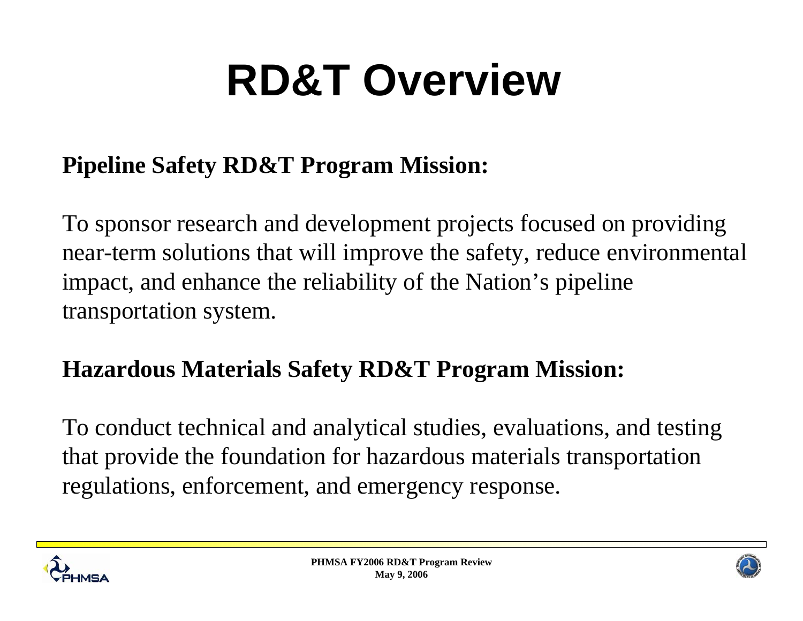# **RD&T Overview**

#### **Pipeline Safety RD&T Program Mission:**

To sponsor research and development projects focused on providing near-term solutions that will improve the safety, reduce environmental impact, and enhance the reliability of the Nation's pipeline transportation system.

#### **Hazardous Materials Safety RD&T Program Mission:**

To conduct technical and analytical studies, evaluations, and testing that provide the foundation for hazardous materials transportation regulations, enforcement, and emergency response.



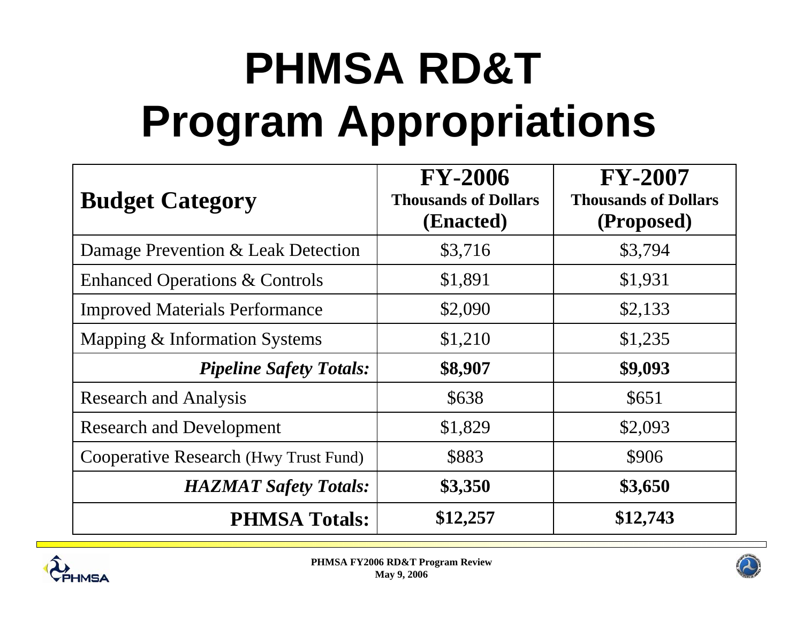# **PHMSA RD&T Program Appropriations**

| <b>Budget Category</b>                    | <b>FY-2006</b><br><b>Thousands of Dollars</b><br>(Enacted) | <b>FY-2007</b><br><b>Thousands of Dollars</b><br>(Proposed) |
|-------------------------------------------|------------------------------------------------------------|-------------------------------------------------------------|
| Damage Prevention & Leak Detection        | \$3,716                                                    | \$3,794                                                     |
| <b>Enhanced Operations &amp; Controls</b> | \$1,891                                                    | \$1,931                                                     |
| <b>Improved Materials Performance</b>     | \$2,090                                                    | \$2,133                                                     |
| Mapping & Information Systems             | \$1,210                                                    | \$1,235                                                     |
| <b>Pipeline Safety Totals:</b>            | \$8,907                                                    | \$9,093                                                     |
| <b>Research and Analysis</b>              | \$638                                                      | \$651                                                       |
| <b>Research and Development</b>           | \$1,829                                                    | \$2,093                                                     |
| Cooperative Research (Hwy Trust Fund)     | \$883                                                      | \$906                                                       |
| <b>HAZMAT Safety Totals:</b>              | \$3,350                                                    | \$3,650                                                     |
| <b>PHMSA Totals:</b>                      | \$12,257                                                   | \$12,743                                                    |



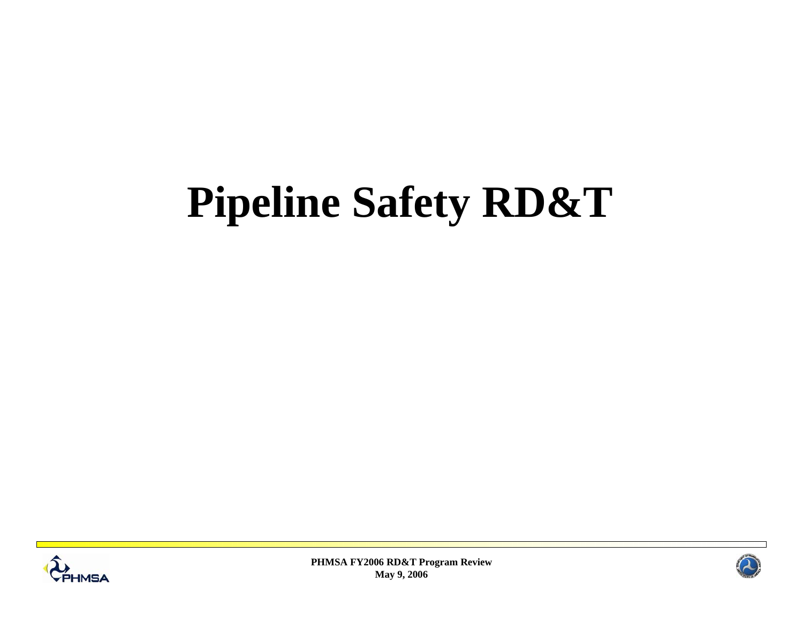## **Pipeline Safety RD&T**



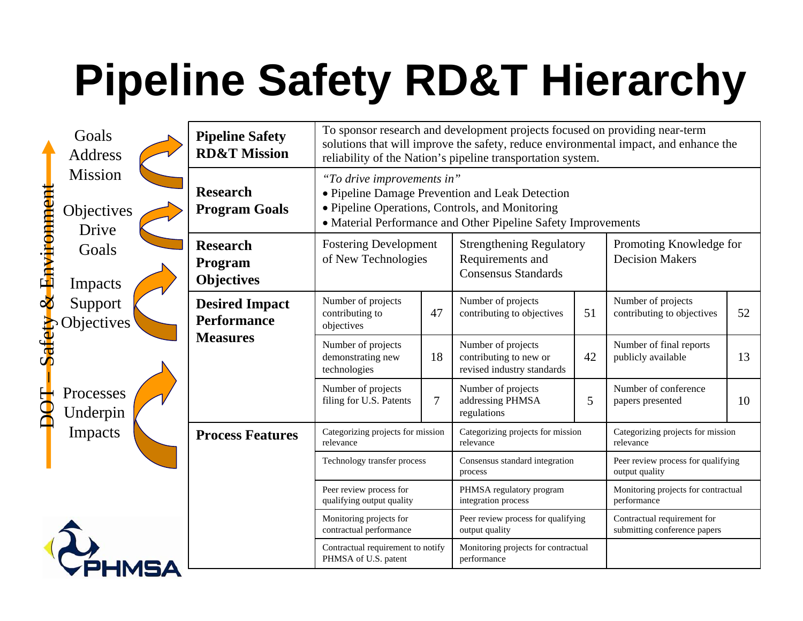# **Pipeline Safety RD&T Hierarchy**

| Goals<br><b>Address</b>           | <b>Pipeline Safety</b><br><b>RD&amp;T Mission</b> | To sponsor research and development projects focused on providing near-term<br>solutions that will improve the safety, reduce environmental impact, and enhance the<br>reliability of the Nation's pipeline transportation system. |                                                                                                             |                                                                            |                         |                                                             |    |
|-----------------------------------|---------------------------------------------------|------------------------------------------------------------------------------------------------------------------------------------------------------------------------------------------------------------------------------------|-------------------------------------------------------------------------------------------------------------|----------------------------------------------------------------------------|-------------------------|-------------------------------------------------------------|----|
| Mission<br>Objectives<br>Drive    | <b>Research</b><br><b>Program Goals</b>           | "To drive improvements in"<br>• Pipeline Damage Prevention and Leak Detection<br>· Pipeline Operations, Controls, and Monitoring<br>• Material Performance and Other Pipeline Safety Improvements                                  |                                                                                                             |                                                                            |                         |                                                             |    |
| & Environment<br>Goals<br>Impacts | <b>Research</b><br>Program<br><b>Objectives</b>   | <b>Fostering Development</b><br>of New Technologies                                                                                                                                                                                | <b>Strengthening Regulatory</b><br>Requirements and<br><b>Decision Makers</b><br><b>Consensus Standards</b> |                                                                            | Promoting Knowledge for |                                                             |    |
| Support<br><b>Objectives</b>      | <b>Desired Impact</b><br><b>Performance</b>       | Number of projects<br>contributing to<br>objectives                                                                                                                                                                                | 47                                                                                                          | Number of projects<br>contributing to objectives                           | 51                      | Number of projects<br>contributing to objectives            | 52 |
| Safety                            | <b>Measures</b>                                   | Number of projects<br>demonstrating new<br>technologies                                                                                                                                                                            | 18                                                                                                          | Number of projects<br>contributing to new or<br>revised industry standards | 42                      | Number of final reports<br>publicly available               | 13 |
| ECH<br>Processes<br>Underpin      | Impacts<br><b>Process Features</b>                | Number of projects<br>filing for U.S. Patents                                                                                                                                                                                      | 7                                                                                                           | Number of projects<br>addressing PHMSA<br>regulations                      | 5                       | Number of conference<br>papers presented                    | 10 |
|                                   |                                                   | Categorizing projects for mission<br>relevance                                                                                                                                                                                     |                                                                                                             | Categorizing projects for mission<br>relevance                             |                         | Categorizing projects for mission<br>relevance              |    |
|                                   |                                                   | Technology transfer process                                                                                                                                                                                                        |                                                                                                             | Consensus standard integration<br>process                                  |                         | Peer review process for qualifying<br>output quality        |    |
|                                   |                                                   | Peer review process for<br>qualifying output quality                                                                                                                                                                               |                                                                                                             | PHMSA regulatory program<br>integration process                            |                         | Monitoring projects for contractual<br>performance          |    |
|                                   |                                                   | Monitoring projects for<br>contractual performance                                                                                                                                                                                 |                                                                                                             | Peer review process for qualifying<br>output quality                       |                         | Contractual requirement for<br>submitting conference papers |    |
|                                   |                                                   | Contractual requirement to notify<br>PHMSA of U.S. patent                                                                                                                                                                          |                                                                                                             | Monitoring projects for contractual<br>performance                         |                         |                                                             |    |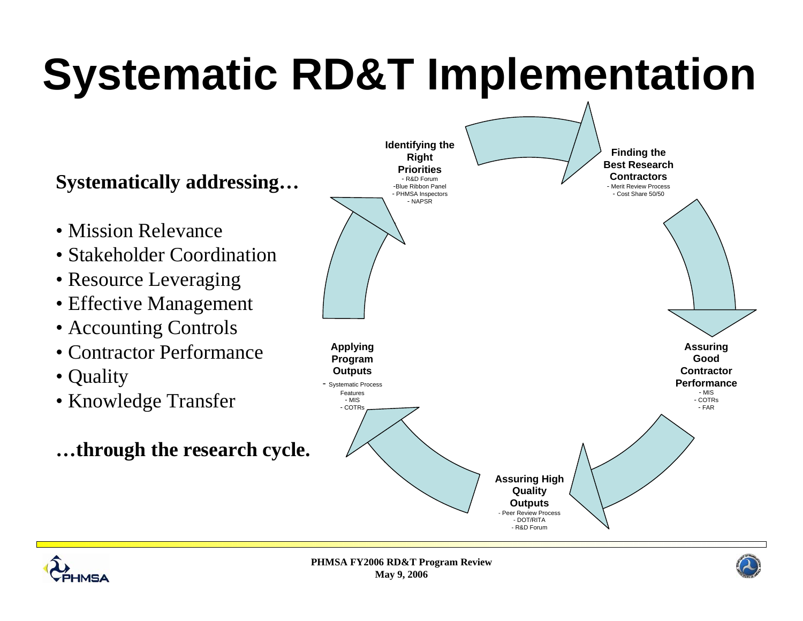# **Systematic RD&T Implementation**

#### **Systematically addressing…**

- Mission Relevance
- Stakeholder Coordination
- Resource Leveraging
- Effective Management
- Accounting Controls
- Contractor Performance
- Quality
- Knowledge Transfer
- **…through the research cycle.**





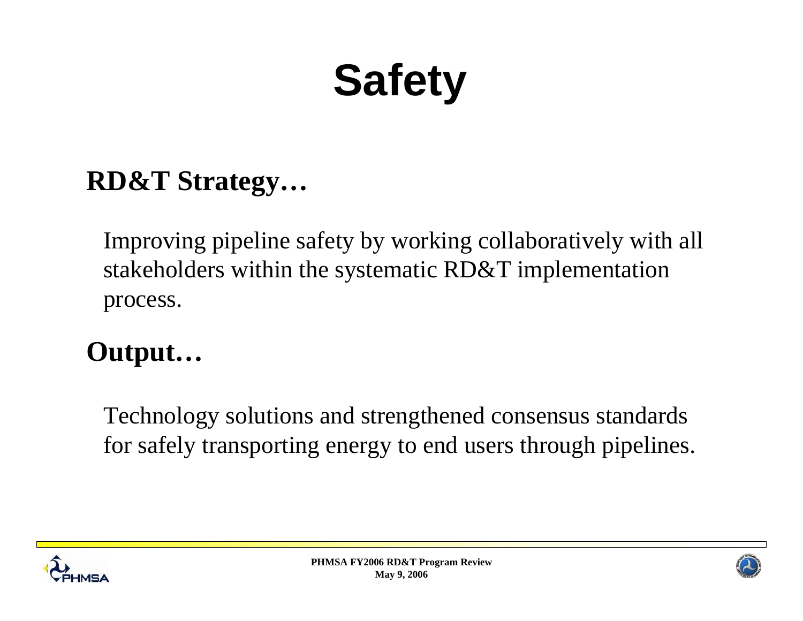# **Safety**

#### **RD&T Strategy…**

Improving pipeline safety by working collaboratively with all stakeholders within the systematic RD&T implementation process.

### **Output…**

Technology solutions and strengthened consensus standards for safely transporting energy to end users through pipelines.





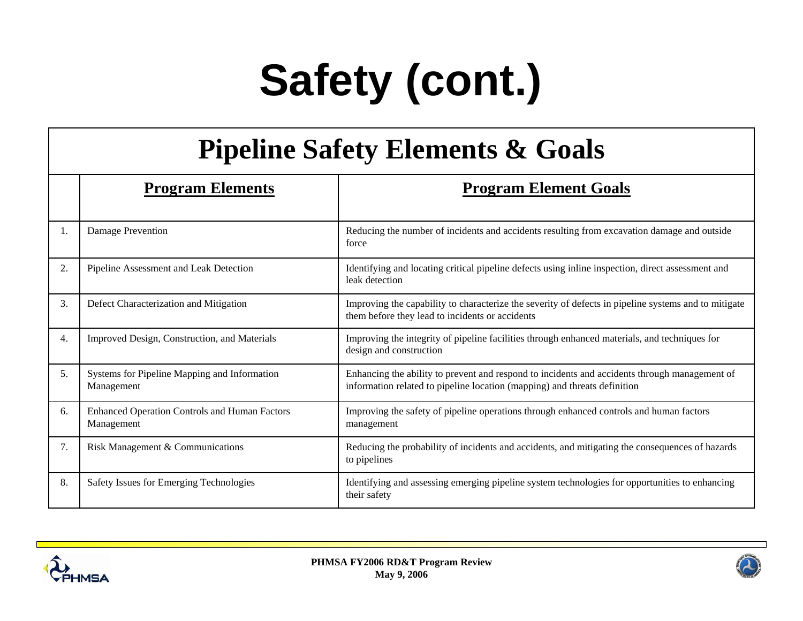# **Safety (cont.)**

#### **Pipeline Safety Elements & Goals**

|    | <b>Program Elements</b>                                            | <b>Program Element Goals</b>                                                                                                                                               |  |  |
|----|--------------------------------------------------------------------|----------------------------------------------------------------------------------------------------------------------------------------------------------------------------|--|--|
| 1. | Damage Prevention                                                  | Reducing the number of incidents and accidents resulting from excavation damage and outside<br>force                                                                       |  |  |
| 2. | Pipeline Assessment and Leak Detection                             | Identifying and locating critical pipeline defects using inline inspection, direct assessment and<br>leak detection                                                        |  |  |
| 3. | Defect Characterization and Mitigation                             | Improving the capability to characterize the severity of defects in pipeline systems and to mitigate<br>them before they lead to incidents or accidents                    |  |  |
| 4. | Improved Design, Construction, and Materials                       | Improving the integrity of pipeline facilities through enhanced materials, and techniques for<br>design and construction                                                   |  |  |
| 5. | Systems for Pipeline Mapping and Information<br>Management         | Enhancing the ability to prevent and respond to incidents and accidents through management of<br>information related to pipeline location (mapping) and threats definition |  |  |
| 6. | <b>Enhanced Operation Controls and Human Factors</b><br>Management | Improving the safety of pipeline operations through enhanced controls and human factors<br>management                                                                      |  |  |
| 7. | Risk Management & Communications                                   | Reducing the probability of incidents and accidents, and mitigating the consequences of hazards<br>to pipelines                                                            |  |  |
| 8. | Safety Issues for Emerging Technologies                            | Identifying and assessing emerging pipeline system technologies for opportunities to enhancing<br>their safety                                                             |  |  |



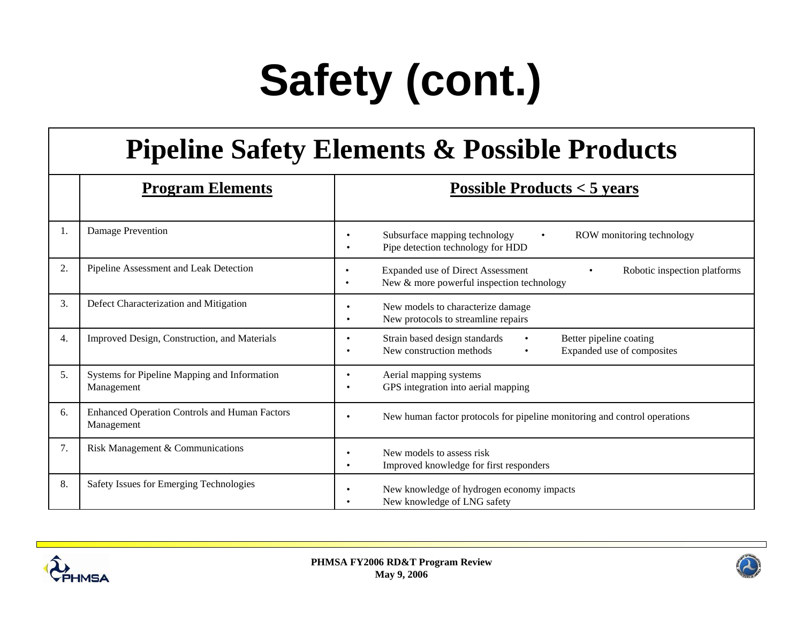# **Safety (cont.)**

#### **Pipeline Safety Elements & Possible Products**

|    | <b>Program Elements</b>                                            | <b>Possible Products &lt; 5 years</b>                                                                              |
|----|--------------------------------------------------------------------|--------------------------------------------------------------------------------------------------------------------|
| 1. | Damage Prevention                                                  | Subsurface mapping technology<br>ROW monitoring technology<br>Pipe detection technology for HDD                    |
| 2. | Pipeline Assessment and Leak Detection                             | Expanded use of Direct Assessment<br>Robotic inspection platforms<br>New & more powerful inspection technology     |
| 3. | Defect Characterization and Mitigation                             | New models to characterize damage<br>New protocols to streamline repairs<br>٠                                      |
| 4. | Improved Design, Construction, and Materials                       | Strain based design standards<br>Better pipeline coating<br>New construction methods<br>Expanded use of composites |
| 5. | Systems for Pipeline Mapping and Information<br>Management         | Aerial mapping systems<br>GPS integration into aerial mapping                                                      |
| 6. | <b>Enhanced Operation Controls and Human Factors</b><br>Management | New human factor protocols for pipeline monitoring and control operations<br>$\bullet$                             |
| 7. | Risk Management & Communications                                   | New models to assess risk<br>Improved knowledge for first responders                                               |
| 8. | Safety Issues for Emerging Technologies                            | New knowledge of hydrogen economy impacts<br>New knowledge of LNG safety                                           |



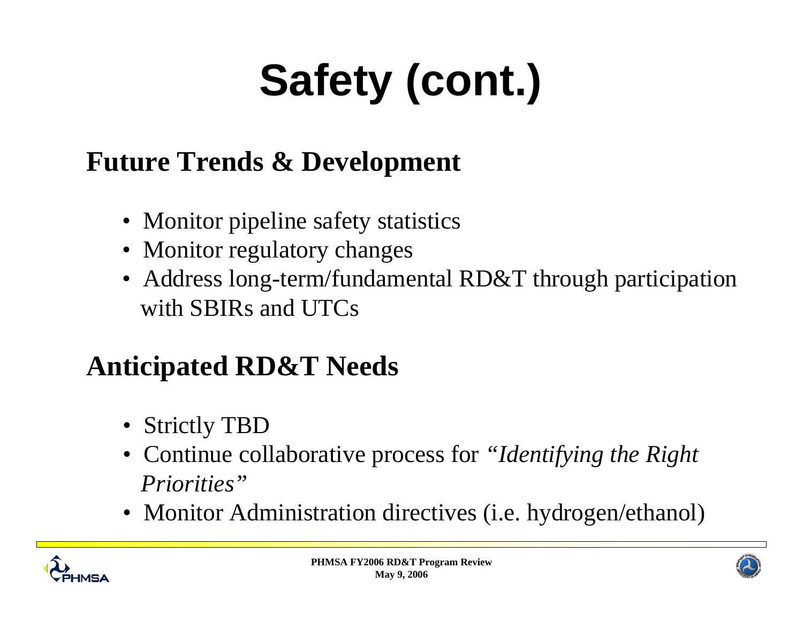# **Safety (cont.)**

### **Future Trends & Development**

- Monitor pipeline safety statistics
- Monitor regulatory changes
- Address long-term/fundamental RD&T through participation with SBIRs and UTCs

### **Anticipated RD&T Needs**

- Strictly TBD
- Continue collaborative process for *"Identifying the Right Priorities"*
- Monitor Administration directives (i.e. hydrogen/ethanol)



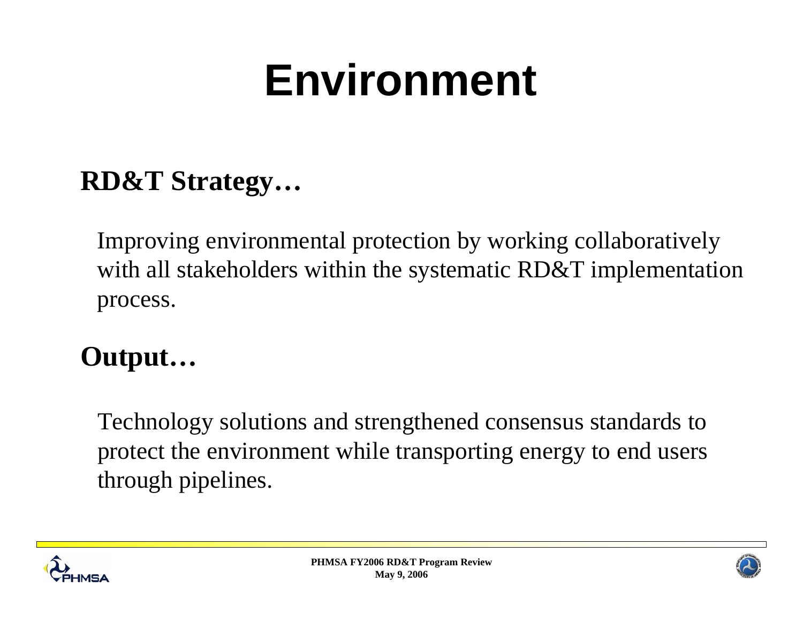# **Environment**

#### **RD&T Strategy…**

Improving environmental protection by working collaboratively with all stakeholders within the systematic RD&T implementation process.

### **Output…**

Technology solutions and strengthened consensus standards to protect the environment while transporting energy to end users through pipelines.



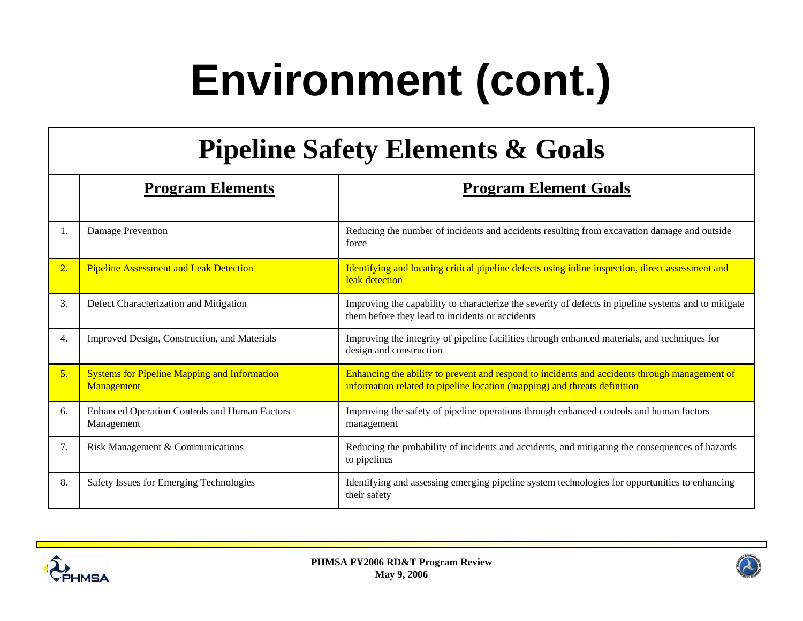# **Environment (cont.)**

#### **Pipeline Safety Elements & Goals**

|    | <b>Program Elements</b>                                            | <b>Program Element Goals</b>                                                                                                                                               |
|----|--------------------------------------------------------------------|----------------------------------------------------------------------------------------------------------------------------------------------------------------------------|
| 1. | Damage Prevention                                                  | Reducing the number of incidents and accidents resulting from excavation damage and outside<br>force                                                                       |
| 2. | <b>Pipeline Assessment and Leak Detection</b>                      | Identifying and locating critical pipeline defects using inline inspection, direct assessment and<br>leak detection                                                        |
| 3. | Defect Characterization and Mitigation                             | Improving the capability to characterize the severity of defects in pipeline systems and to mitigate<br>them before they lead to incidents or accidents                    |
| 4. | Improved Design, Construction, and Materials                       | Improving the integrity of pipeline facilities through enhanced materials, and techniques for<br>design and construction                                                   |
| 5. | <b>Systems for Pipeline Mapping and Information</b><br>Management  | Enhancing the ability to prevent and respond to incidents and accidents through management of<br>information related to pipeline location (mapping) and threats definition |
| 6. | <b>Enhanced Operation Controls and Human Factors</b><br>Management | Improving the safety of pipeline operations through enhanced controls and human factors<br>management                                                                      |
| 7. | Risk Management & Communications                                   | Reducing the probability of incidents and accidents, and mitigating the consequences of hazards<br>to pipelines                                                            |
| 8. | Safety Issues for Emerging Technologies                            | Identifying and assessing emerging pipeline system technologies for opportunities to enhancing<br>their safety                                                             |



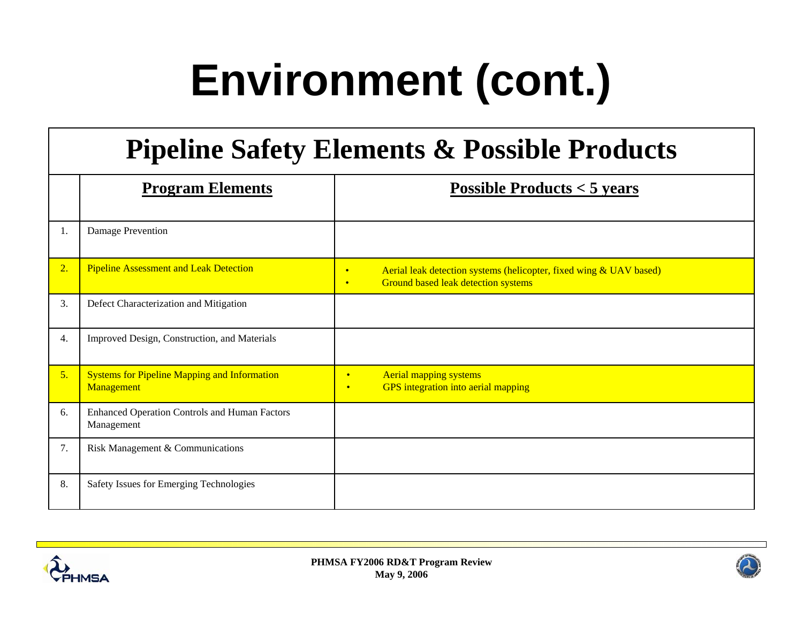# **Environment (cont.)**

#### **Pipeline Safety Elements & Possible Products**

|    | <b>Program Elements</b>                                            | Possible Products $<$ 5 years                                                                                                       |
|----|--------------------------------------------------------------------|-------------------------------------------------------------------------------------------------------------------------------------|
| 1. | Damage Prevention                                                  |                                                                                                                                     |
| 2. | <b>Pipeline Assessment and Leak Detection</b>                      | Aerial leak detection systems (helicopter, fixed wing & UAV based)<br>$\bullet$<br>Ground based leak detection systems<br>$\bullet$ |
| 3. | Defect Characterization and Mitigation                             |                                                                                                                                     |
| 4. | Improved Design, Construction, and Materials                       |                                                                                                                                     |
| 5. | <b>Systems for Pipeline Mapping and Information</b><br>Management  | <b>Aerial mapping systems</b><br>$\bullet$<br>GPS integration into aerial mapping<br>$\bullet$                                      |
| 6. | <b>Enhanced Operation Controls and Human Factors</b><br>Management |                                                                                                                                     |
| 7. | Risk Management & Communications                                   |                                                                                                                                     |
| 8. | Safety Issues for Emerging Technologies                            |                                                                                                                                     |



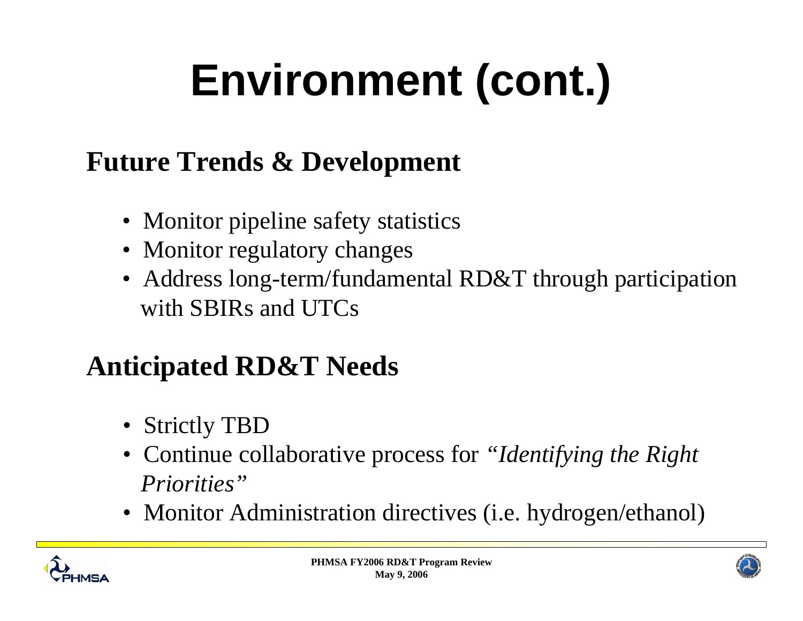# **Environment (cont.)**

### **Future Trends & Development**

- Monitor pipeline safety statistics
- Monitor regulatory changes
- Address long-term/fundamental RD&T through participation with SBIRs and UTCs

### **Anticipated RD&T Needs**

- Strictly TBD
- Continue collaborative process for *"Identifying the Right Priorities"*
- Monitor Administration directives (i.e. hydrogen/ethanol)



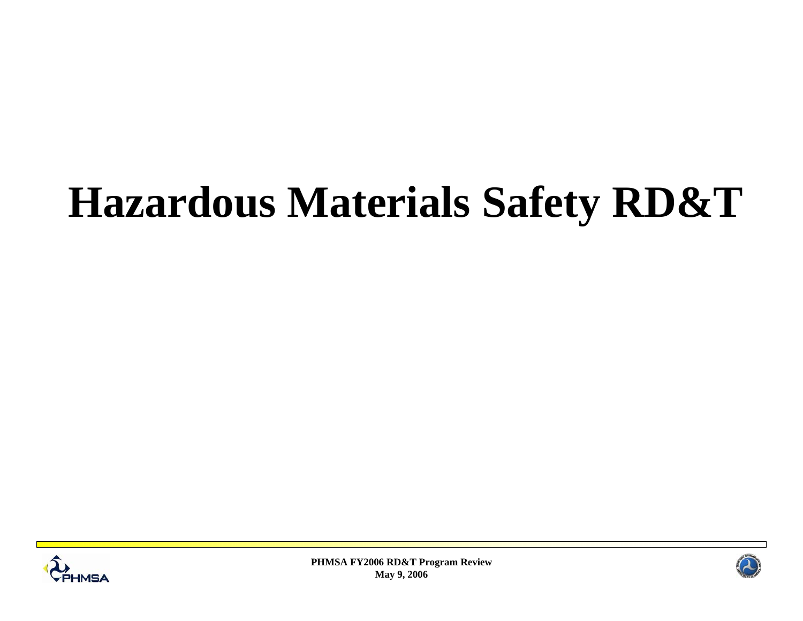## **Hazardous Materials Safety RD&T**



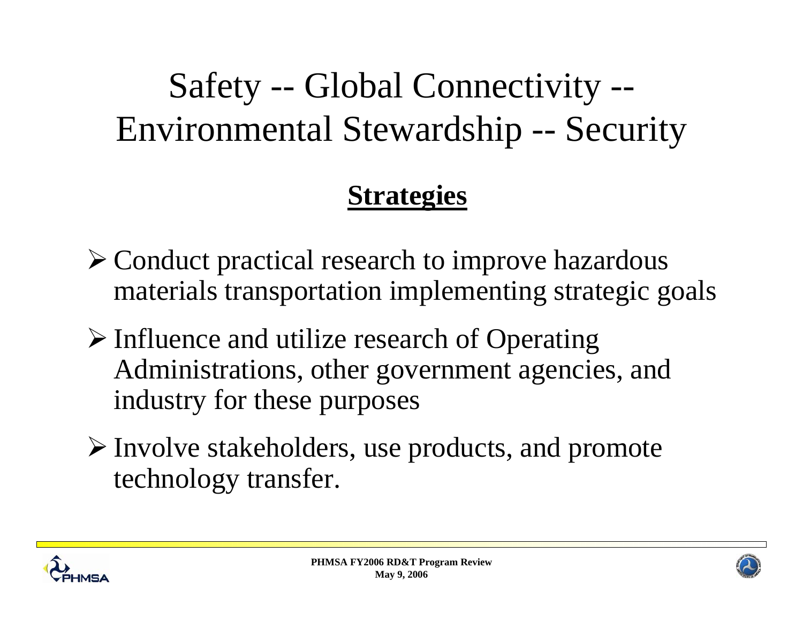### Safety -- Global Connectivity -- Environmental Stewardship -- Security

#### **Strategies**

- ¾ Conduct practical research to improve hazardous materials transportation implementing strategic goals
- ¾ Influence and utilize research of Operating Administrations, other government agencies, and industry for these purposes
- ¾ Involve stakeholders, use products, and promote technology transfer.



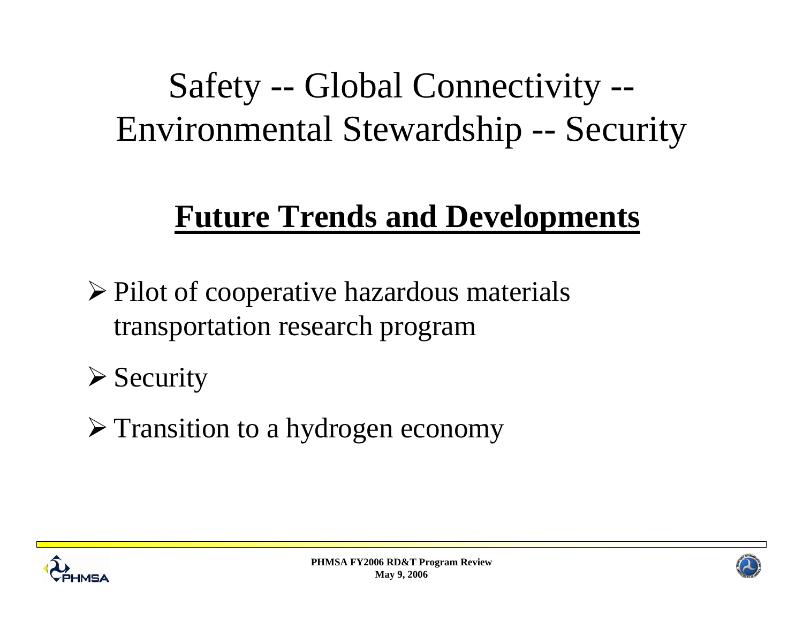### Safety -- Global Connectivity -- Environmental Stewardship -- Security

### **Future Trends and Developments**

¾ Pilot of cooperative hazardous materials transportation research program

 $\triangleright$  Security

¾ Transition to a hydrogen economy





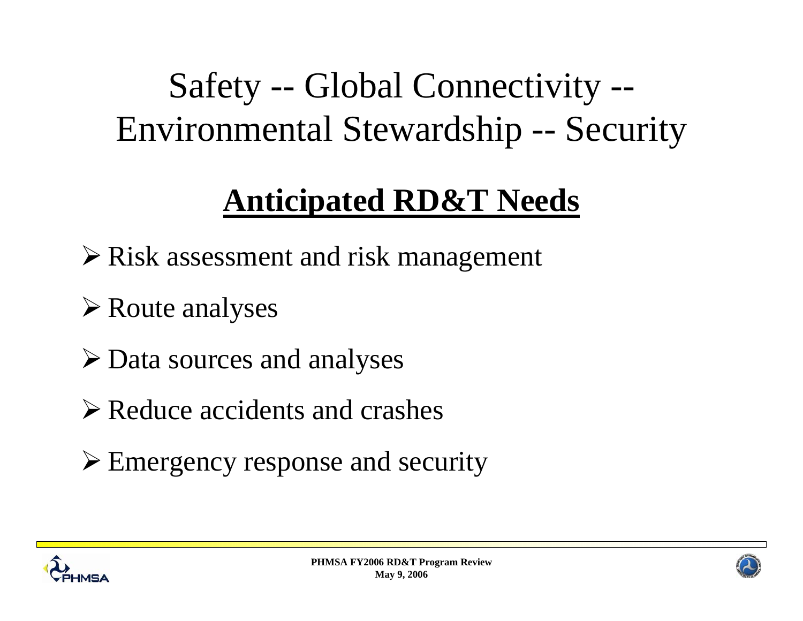### Safety -- Global Connectivity -- Environmental Stewardship -- Security

### **Anticipated RD&T Needs**

- ¾ Risk assessment and risk management
- **≻ Route analyses**
- ¾ Data sources and analyses
- $\triangleright$  Reduce accidents and crashes
- ¾ Emergency response and security



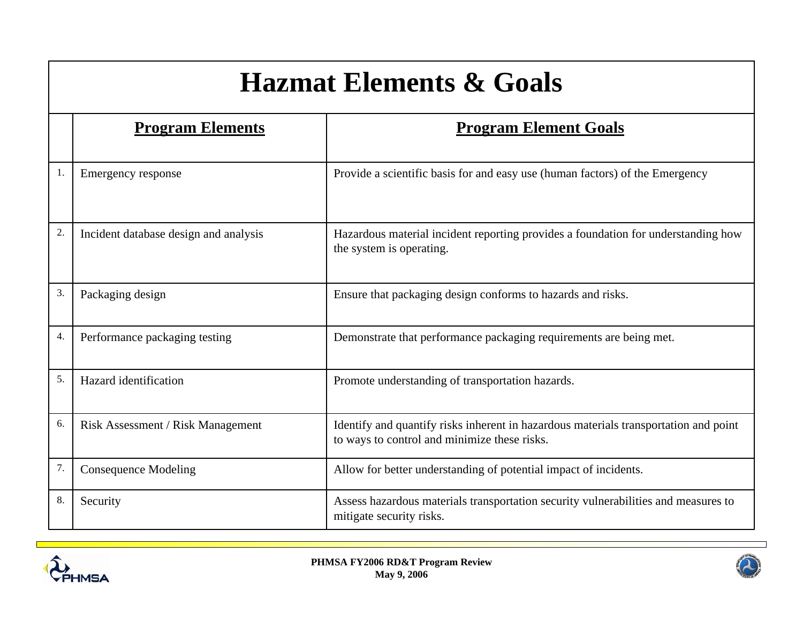### **Hazmat Elements & Goals**

|    | <b>Program Elements</b>               | <b>Program Element Goals</b>                                                                                                         |
|----|---------------------------------------|--------------------------------------------------------------------------------------------------------------------------------------|
| 1. | Emergency response                    | Provide a scientific basis for and easy use (human factors) of the Emergency                                                         |
| 2. | Incident database design and analysis | Hazardous material incident reporting provides a foundation for understanding how<br>the system is operating.                        |
| 3. | Packaging design                      | Ensure that packaging design conforms to hazards and risks.                                                                          |
| 4. | Performance packaging testing         | Demonstrate that performance packaging requirements are being met.                                                                   |
| 5. | Hazard identification                 | Promote understanding of transportation hazards.                                                                                     |
| 6. | Risk Assessment / Risk Management     | Identify and quantify risks inherent in hazardous materials transportation and point<br>to ways to control and minimize these risks. |
| 7. | <b>Consequence Modeling</b>           | Allow for better understanding of potential impact of incidents.                                                                     |
| 8. | Security                              | Assess hazardous materials transportation security vulnerabilities and measures to<br>mitigate security risks.                       |



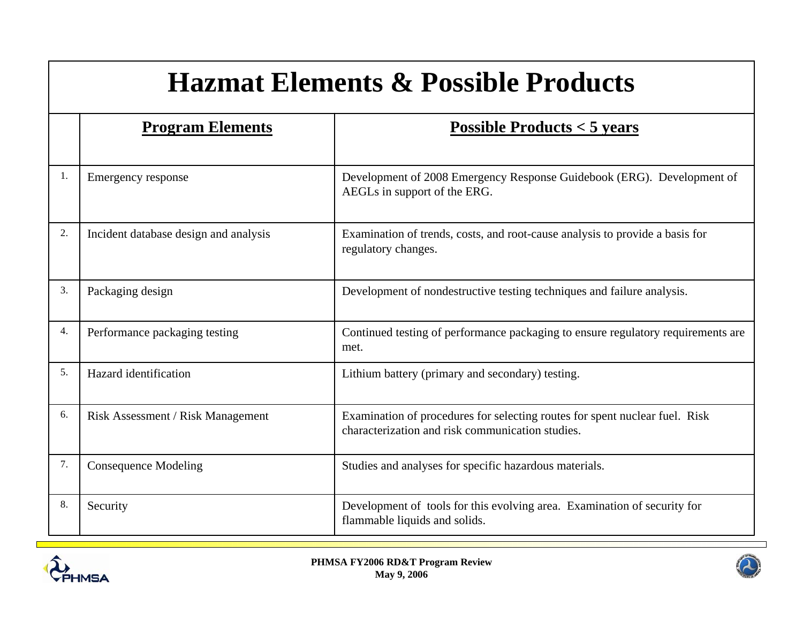### **Hazmat Elements & Possible Products**

|    | <b>Program Elements</b>               | Possible Products $<$ 5 years                                                                                                   |
|----|---------------------------------------|---------------------------------------------------------------------------------------------------------------------------------|
| 1. | Emergency response                    | Development of 2008 Emergency Response Guidebook (ERG). Development of<br>AEGLs in support of the ERG.                          |
| 2. | Incident database design and analysis | Examination of trends, costs, and root-cause analysis to provide a basis for<br>regulatory changes.                             |
| 3. | Packaging design                      | Development of nondestructive testing techniques and failure analysis.                                                          |
| 4. | Performance packaging testing         | Continued testing of performance packaging to ensure regulatory requirements are<br>met.                                        |
| 5. | Hazard identification                 | Lithium battery (primary and secondary) testing.                                                                                |
| 6. | Risk Assessment / Risk Management     | Examination of procedures for selecting routes for spent nuclear fuel. Risk<br>characterization and risk communication studies. |
| 7. | <b>Consequence Modeling</b>           | Studies and analyses for specific hazardous materials.                                                                          |
| 8. | Security                              | Development of tools for this evolving area. Examination of security for<br>flammable liquids and solids.                       |



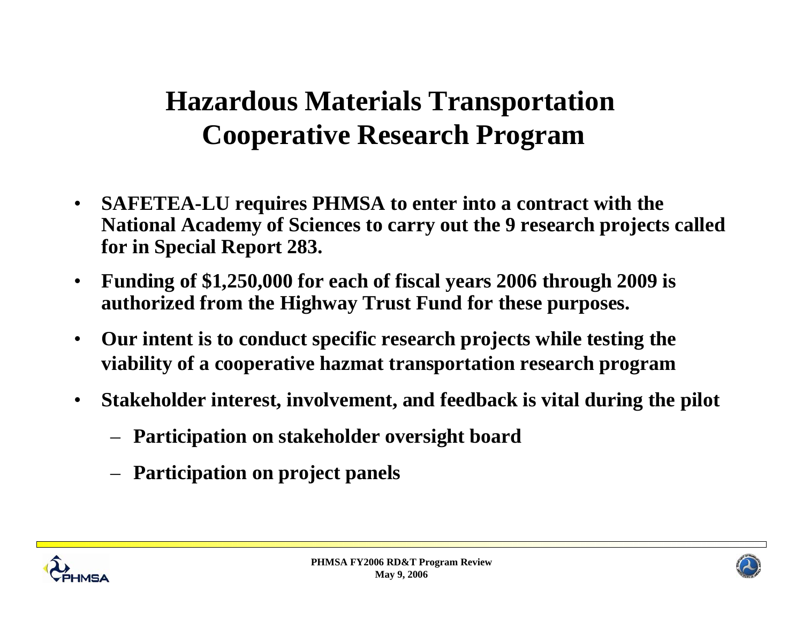### **Hazardous Materials Transportation Cooperative Research Program**

- • **SAFETEA-LU requires PHMSA to enter into a contract with the National Academy of Sciences to carry out the 9 research projects called for in Special Report 283.**
- • **Funding of \$1,250,000 for each of fiscal years 2006 through 2009 is authorized from the Highway Trust Fund for these purposes.**
- • **Our intent is to conduct specific research projects while testing the viability of a cooperative hazmat transportation research program**
- • **Stakeholder interest, involvement, and feedback is vital during the pilot**
	- **Participation on stakeholder oversight board**
	- **Participation on project panels**





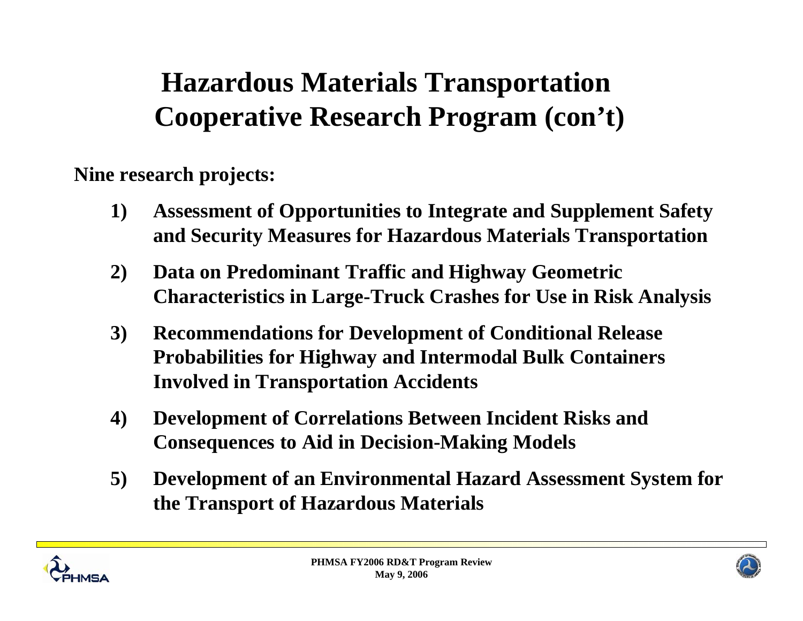### **Hazardous Materials Transportation Cooperative Research Program (con't)**

**Nine research projects:**

- **1) Assessment of Opportunities to Integrate and Supplement Safety and Security Measures for Hazardous Materials Transportation**
- **2) Data on Predominant Traffic and Highway Geometric Characteristics in Large-Truck Crashes for Use in Risk Analysis**
- **3) Recommendations for Development of Conditional Release Probabilities for Highway and Intermodal Bulk Containers Involved in Transportation Accidents**
- **4) Development of Correlations Between Incident Risks and Consequences to Aid in Decision-Making Models**
- **5) Development of an Environmental Hazard Assessment System for the Transport of Hazardous Materials**



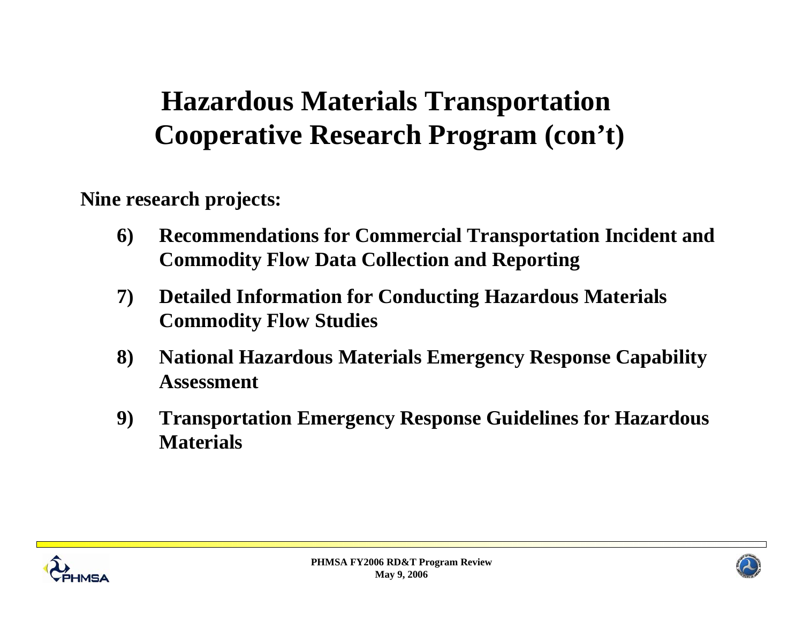### **Hazardous Materials Transportation Cooperative Research Program (con't)**

**Nine research projects:**

- **6) Recommendations for Commercial Transportation Incident and Commodity Flow Data Collection and Reporting**
- **7) Detailed Information for Conducting Hazardous Materials Commodity Flow Studies**
- **8) National Hazardous Materials Emergency Response Capability Assessment**
- **9) Transportation Emergency Response Guidelines for Hazardous Materials**